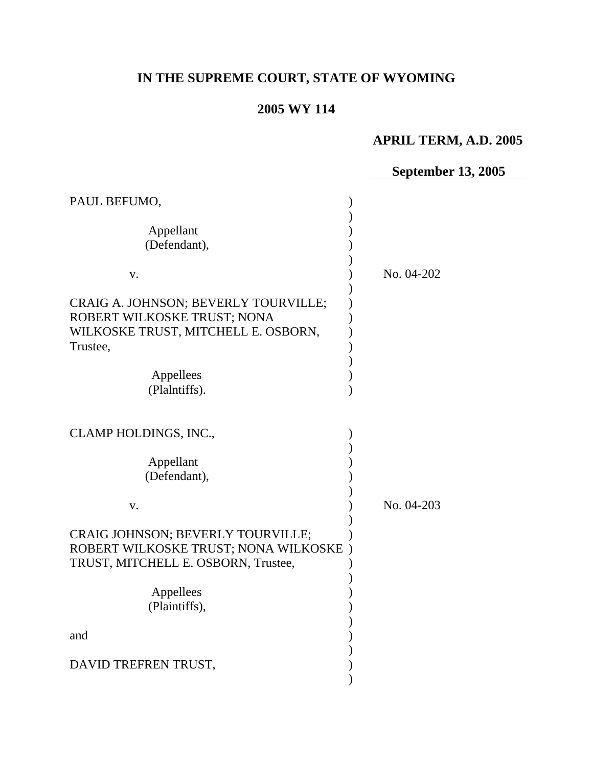# **IN THE SUPREME COURT, STATE OF WYOMING**

# **2005 WY 114**

# **APRIL TERM, A.D. 2005**

# **September 13, 2005**

| PAUL BEFUMO,                                                                                                           |            |
|------------------------------------------------------------------------------------------------------------------------|------------|
| Appellant<br>(Defendant),                                                                                              |            |
| V.                                                                                                                     | No. 04-202 |
| CRAIG A. JOHNSON; BEVERLY TOURVILLE;<br>ROBERT WILKOSKE TRUST; NONA<br>WILKOSKE TRUST, MITCHELL E. OSBORN,<br>Trustee, |            |
| Appellees                                                                                                              |            |
| (Plalntiffs).                                                                                                          |            |
| CLAMP HOLDINGS, INC.,<br>Appellant<br>(Defendant),                                                                     |            |
| V.                                                                                                                     | No. 04-203 |
| CRAIG JOHNSON; BEVERLY TOURVILLE;<br>ROBERT WILKOSKE TRUST; NONA WILKOSKE<br>TRUST, MITCHELL E. OSBORN, Trustee,       |            |
| Appellees                                                                                                              |            |
| (Plaintiffs),                                                                                                          |            |
|                                                                                                                        |            |
| and                                                                                                                    |            |
| DAVID TREFREN TRUST,                                                                                                   |            |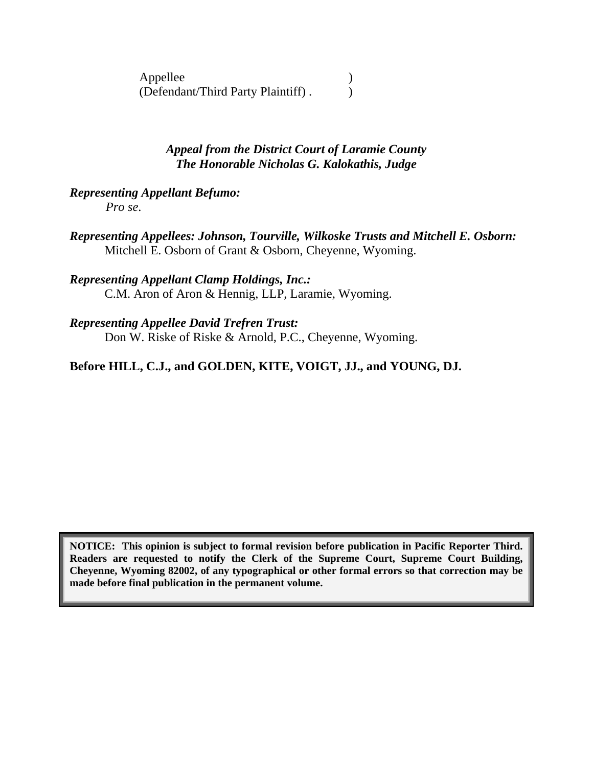Appellee (b) (Defendant/Third Party Plaintiff) . )

> *Appeal from the District Court of Laramie County The Honorable Nicholas G. Kalokathis, Judge*

# *Representing Appellant Befumo:*

*Pro se*.

*Representing Appellees: Johnson, Tourville, Wilkoske Trusts and Mitchell E. Osborn:*  Mitchell E. Osborn of Grant & Osborn, Cheyenne, Wyoming.

#### *Representing Appellant Clamp Holdings, Inc.:*  C.M. Aron of Aron & Hennig, LLP, Laramie, Wyoming.

#### *Representing Appellee David Trefren Trust:*  Don W. Riske of Riske & Arnold, P.C., Cheyenne, Wyoming.

# **Before HILL, C.J., and GOLDEN, KITE, VOIGT, JJ., and YOUNG, DJ.**

**NOTICE: This opinion is subject to formal revision before publication in Pacific Reporter Third. Readers are requested to notify the Clerk of the Supreme Court, Supreme Court Building, Cheyenne, Wyoming 82002, of any typographical or other formal errors so that correction may be made before final publication in the permanent volume.**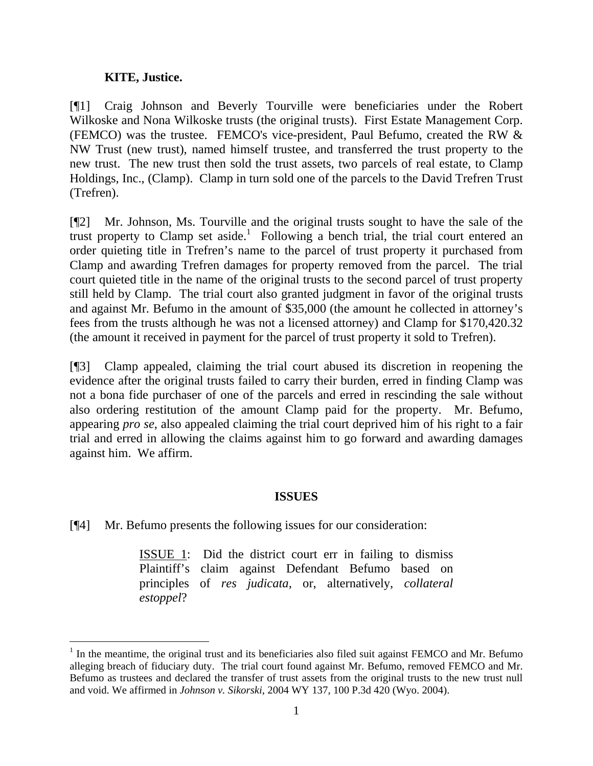#### **KITE, Justice.**

[¶1] Craig Johnson and Beverly Tourville were beneficiaries under the Robert Wilkoske and Nona Wilkoske trusts (the original trusts). First Estate Management Corp. (FEMCO) was the trustee. FEMCO's vice-president, Paul Befumo, created the RW & NW Trust (new trust), named himself trustee, and transferred the trust property to the new trust. The new trust then sold the trust assets, two parcels of real estate, to Clamp Holdings, Inc., (Clamp). Clamp in turn sold one of the parcels to the David Trefren Trust (Trefren).

[¶2] Mr. Johnson, Ms. Tourville and the original trusts sought to have the sale of the trust property to Clamp set aside.<sup>1</sup> Following a bench trial, the trial court entered an order quieting title in Trefren's name to the parcel of trust property it purchased from Clamp and awarding Trefren damages for property removed from the parcel. The trial court quieted title in the name of the original trusts to the second parcel of trust property still held by Clamp. The trial court also granted judgment in favor of the original trusts and against Mr. Befumo in the amount of \$35,000 (the amount he collected in attorney's fees from the trusts although he was not a licensed attorney) and Clamp for \$170,420.32 (the amount it received in payment for the parcel of trust property it sold to Trefren).

[¶3] Clamp appealed, claiming the trial court abused its discretion in reopening the evidence after the original trusts failed to carry their burden, erred in finding Clamp was not a bona fide purchaser of one of the parcels and erred in rescinding the sale without also ordering restitution of the amount Clamp paid for the property. Mr. Befumo, appearing *pro se*, also appealed claiming the trial court deprived him of his right to a fair trial and erred in allowing the claims against him to go forward and awarding damages against him. We affirm.

#### **ISSUES**

[¶4] Mr. Befumo presents the following issues for our consideration:

ISSUE 1: Did the district court err in failing to dismiss Plaintiff's claim against Defendant Befumo based on principles of *res judicata*, or, alternatively, *collateral estoppel*?

 $\frac{1}{1}$  $<sup>1</sup>$  In the meantime, the original trust and its beneficiaries also filed suit against FEMCO and Mr. Befumo</sup> alleging breach of fiduciary duty. The trial court found against Mr. Befumo, removed FEMCO and Mr. Befumo as trustees and declared the transfer of trust assets from the original trusts to the new trust null and void. We affirmed in *Johnson v. Sikorski*, 2004 WY 137, 100 P.3d 420 (Wyo. 2004).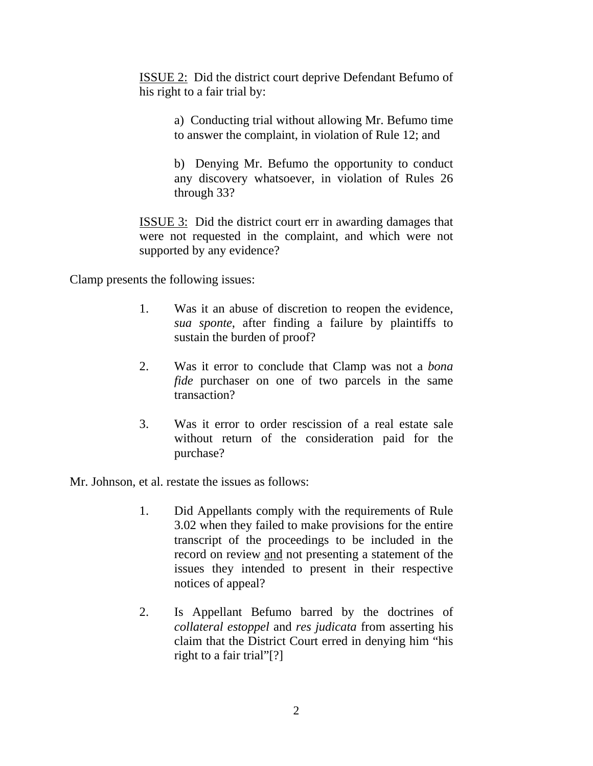ISSUE 2: Did the district court deprive Defendant Befumo of his right to a fair trial by:

> a) Conducting trial without allowing Mr. Befumo time to answer the complaint, in violation of Rule 12; and

> b) Denying Mr. Befumo the opportunity to conduct any discovery whatsoever, in violation of Rules 26 through 33?

ISSUE 3: Did the district court err in awarding damages that were not requested in the complaint, and which were not supported by any evidence?

Clamp presents the following issues:

- 1. Was it an abuse of discretion to reopen the evidence, *sua sponte*, after finding a failure by plaintiffs to sustain the burden of proof?
- 2. Was it error to conclude that Clamp was not a *bona fide* purchaser on one of two parcels in the same transaction?
- 3. Was it error to order rescission of a real estate sale without return of the consideration paid for the purchase?

Mr. Johnson, et al. restate the issues as follows:

- 1. Did Appellants comply with the requirements of Rule 3.02 when they failed to make provisions for the entire transcript of the proceedings to be included in the record on review and not presenting a statement of the issues they intended to present in their respective notices of appeal?
- 2. Is Appellant Befumo barred by the doctrines of *collateral estoppel* and *res judicata* from asserting his claim that the District Court erred in denying him "his right to a fair trial"[?]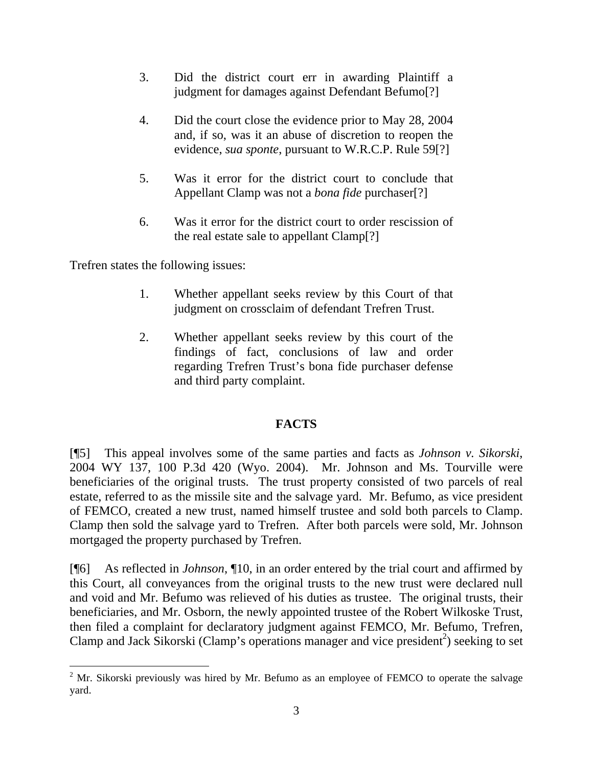- 3. Did the district court err in awarding Plaintiff a judgment for damages against Defendant Befumo[?]
- 4. Did the court close the evidence prior to May 28, 2004 and, if so, was it an abuse of discretion to reopen the evidence, *sua sponte*, pursuant to W.R.C.P. Rule 59[?]
- 5. Was it error for the district court to conclude that Appellant Clamp was not a *bona fide* purchaser[?]
- 6. Was it error for the district court to order rescission of the real estate sale to appellant Clamp[?]

Trefren states the following issues:

- 1. Whether appellant seeks review by this Court of that judgment on crossclaim of defendant Trefren Trust.
- 2. Whether appellant seeks review by this court of the findings of fact, conclusions of law and order regarding Trefren Trust's bona fide purchaser defense and third party complaint.

### **FACTS**

[¶5] This appeal involves some of the same parties and facts as *Johnson v. Sikorski*, 2004 WY 137, 100 P.3d 420 (Wyo. 2004). Mr. Johnson and Ms. Tourville were beneficiaries of the original trusts. The trust property consisted of two parcels of real estate, referred to as the missile site and the salvage yard. Mr. Befumo, as vice president of FEMCO, created a new trust, named himself trustee and sold both parcels to Clamp. Clamp then sold the salvage yard to Trefren. After both parcels were sold, Mr. Johnson mortgaged the property purchased by Trefren.

[¶6] As reflected in *Johnson*, ¶10, in an order entered by the trial court and affirmed by this Court, all conveyances from the original trusts to the new trust were declared null and void and Mr. Befumo was relieved of his duties as trustee. The original trusts, their beneficiaries, and Mr. Osborn, the newly appointed trustee of the Robert Wilkoske Trust, then filed a complaint for declaratory judgment against FEMCO, Mr. Befumo, Trefren, Clamp and Jack Sikorski (Clamp's operations manager and vice president<sup>2</sup>) seeking to set

 $\frac{1}{2}$  $2$  Mr. Sikorski previously was hired by Mr. Befumo as an employee of FEMCO to operate the salvage yard.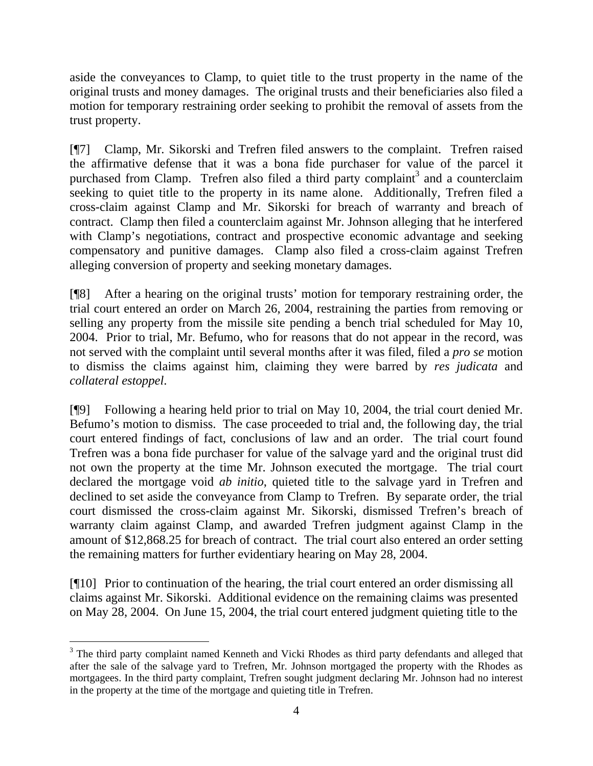aside the conveyances to Clamp, to quiet title to the trust property in the name of the original trusts and money damages. The original trusts and their beneficiaries also filed a motion for temporary restraining order seeking to prohibit the removal of assets from the trust property.

[¶7] Clamp, Mr. Sikorski and Trefren filed answers to the complaint. Trefren raised the affirmative defense that it was a bona fide purchaser for value of the parcel it purchased from Clamp. Trefren also filed a third party complaint<sup>3</sup> and a counterclaim seeking to quiet title to the property in its name alone. Additionally, Trefren filed a cross-claim against Clamp and Mr. Sikorski for breach of warranty and breach of contract. Clamp then filed a counterclaim against Mr. Johnson alleging that he interfered with Clamp's negotiations, contract and prospective economic advantage and seeking compensatory and punitive damages. Clamp also filed a cross-claim against Trefren alleging conversion of property and seeking monetary damages.

[¶8] After a hearing on the original trusts' motion for temporary restraining order, the trial court entered an order on March 26, 2004, restraining the parties from removing or selling any property from the missile site pending a bench trial scheduled for May 10, 2004. Prior to trial, Mr. Befumo, who for reasons that do not appear in the record, was not served with the complaint until several months after it was filed, filed a *pro se* motion to dismiss the claims against him, claiming they were barred by *res judicata* and *collateral estoppel*.

[¶9] Following a hearing held prior to trial on May 10, 2004, the trial court denied Mr. Befumo's motion to dismiss. The case proceeded to trial and, the following day, the trial court entered findings of fact, conclusions of law and an order. The trial court found Trefren was a bona fide purchaser for value of the salvage yard and the original trust did not own the property at the time Mr. Johnson executed the mortgage. The trial court declared the mortgage void *ab initio*, quieted title to the salvage yard in Trefren and declined to set aside the conveyance from Clamp to Trefren. By separate order, the trial court dismissed the cross-claim against Mr. Sikorski, dismissed Trefren's breach of warranty claim against Clamp, and awarded Trefren judgment against Clamp in the amount of \$12,868.25 for breach of contract. The trial court also entered an order setting the remaining matters for further evidentiary hearing on May 28, 2004.

[¶10] Prior to continuation of the hearing, the trial court entered an order dismissing all claims against Mr. Sikorski. Additional evidence on the remaining claims was presented on May 28, 2004. On June 15, 2004, the trial court entered judgment quieting title to the

 $\frac{1}{3}$ <sup>3</sup> The third party complaint named Kenneth and Vicki Rhodes as third party defendants and alleged that after the sale of the salvage yard to Trefren, Mr. Johnson mortgaged the property with the Rhodes as mortgagees. In the third party complaint, Trefren sought judgment declaring Mr. Johnson had no interest in the property at the time of the mortgage and quieting title in Trefren.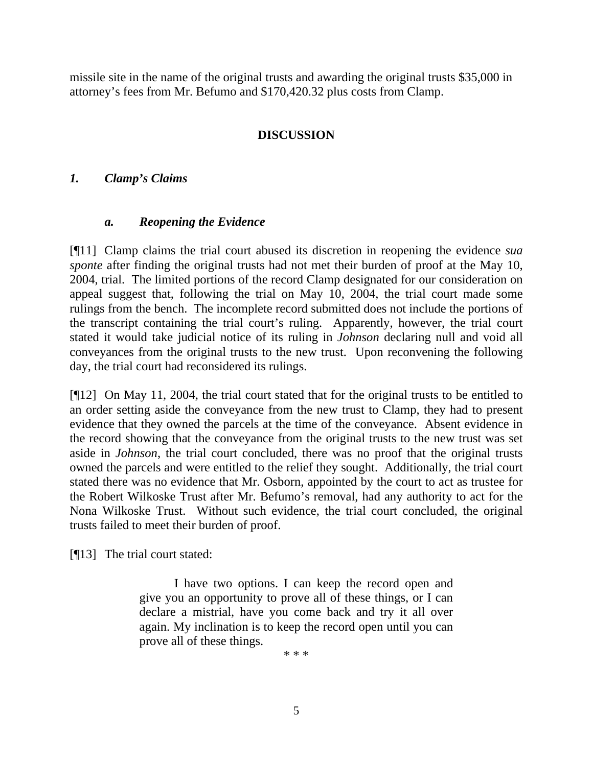missile site in the name of the original trusts and awarding the original trusts \$35,000 in attorney's fees from Mr. Befumo and \$170,420.32 plus costs from Clamp.

## **DISCUSSION**

### *1. Clamp's Claims*

#### *a. Reopening the Evidence*

[¶11] Clamp claims the trial court abused its discretion in reopening the evidence *sua sponte* after finding the original trusts had not met their burden of proof at the May 10, 2004, trial. The limited portions of the record Clamp designated for our consideration on appeal suggest that, following the trial on May 10, 2004, the trial court made some rulings from the bench. The incomplete record submitted does not include the portions of the transcript containing the trial court's ruling. Apparently, however, the trial court stated it would take judicial notice of its ruling in *Johnson* declaring null and void all conveyances from the original trusts to the new trust. Upon reconvening the following day, the trial court had reconsidered its rulings.

[¶12] On May 11, 2004, the trial court stated that for the original trusts to be entitled to an order setting aside the conveyance from the new trust to Clamp, they had to present evidence that they owned the parcels at the time of the conveyance. Absent evidence in the record showing that the conveyance from the original trusts to the new trust was set aside in *Johnson*, the trial court concluded, there was no proof that the original trusts owned the parcels and were entitled to the relief they sought. Additionally, the trial court stated there was no evidence that Mr. Osborn, appointed by the court to act as trustee for the Robert Wilkoske Trust after Mr. Befumo's removal, had any authority to act for the Nona Wilkoske Trust. Without such evidence, the trial court concluded, the original trusts failed to meet their burden of proof.

[¶13] The trial court stated:

I have two options. I can keep the record open and give you an opportunity to prove all of these things, or I can declare a mistrial, have you come back and try it all over again. My inclination is to keep the record open until you can prove all of these things.

\* \* \*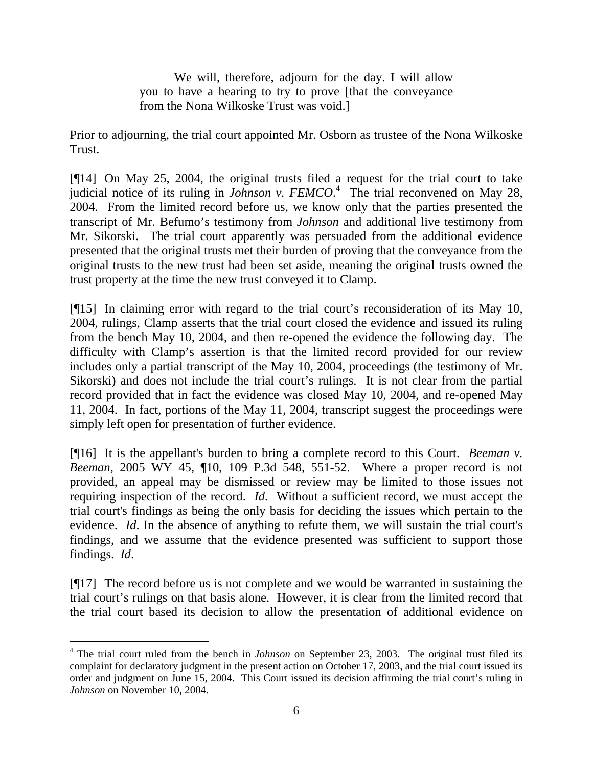We will, therefore, adjourn for the day. I will allow you to have a hearing to try to prove [that the conveyance from the Nona Wilkoske Trust was void.]

Prior to adjourning, the trial court appointed Mr. Osborn as trustee of the Nona Wilkoske Trust.

[¶14] On May 25, 2004, the original trusts filed a request for the trial court to take judicial notice of its ruling in *Johnson v. FEMCO*. 4 The trial reconvened on May 28, 2004. From the limited record before us, we know only that the parties presented the transcript of Mr. Befumo's testimony from *Johnson* and additional live testimony from Mr. Sikorski. The trial court apparently was persuaded from the additional evidence presented that the original trusts met their burden of proving that the conveyance from the original trusts to the new trust had been set aside, meaning the original trusts owned the trust property at the time the new trust conveyed it to Clamp.

[¶15] In claiming error with regard to the trial court's reconsideration of its May 10, 2004, rulings, Clamp asserts that the trial court closed the evidence and issued its ruling from the bench May 10, 2004, and then re-opened the evidence the following day. The difficulty with Clamp's assertion is that the limited record provided for our review includes only a partial transcript of the May 10, 2004, proceedings (the testimony of Mr. Sikorski) and does not include the trial court's rulings. It is not clear from the partial record provided that in fact the evidence was closed May 10, 2004, and re-opened May 11, 2004. In fact, portions of the May 11, 2004, transcript suggest the proceedings were simply left open for presentation of further evidence.

[¶16] It is the appellant's burden to bring a complete record to this Court. *Beeman v. Beeman*, 2005 WY 45, ¶10, 109 P.3d 548, 551-52. Where a proper record is not provided, an appeal may be dismissed or review may be limited to those issues not requiring inspection of the record. *Id*. Without a sufficient record, we must accept the trial court's findings as being the only basis for deciding the issues which pertain to the evidence. *Id*. In the absence of anything to refute them, we will sustain the trial court's findings, and we assume that the evidence presented was sufficient to support those findings. *Id*.

[¶17] The record before us is not complete and we would be warranted in sustaining the trial court's rulings on that basis alone. However, it is clear from the limited record that the trial court based its decision to allow the presentation of additional evidence on

 $\frac{1}{4}$ <sup>4</sup> The trial court ruled from the bench in *Johnson* on September 23, 2003. The original trust filed its complaint for declaratory judgment in the present action on October 17, 2003, and the trial court issued its order and judgment on June 15, 2004. This Court issued its decision affirming the trial court's ruling in *Johnson* on November 10, 2004.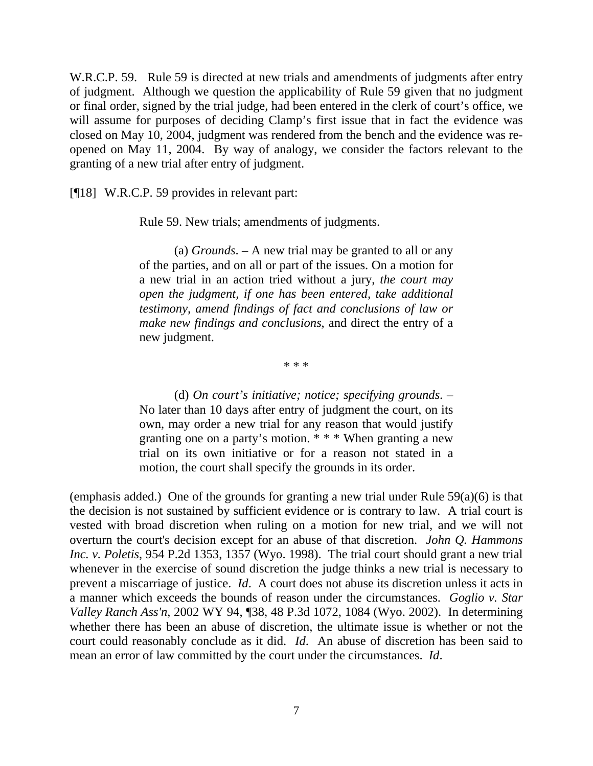W.R.C.P. 59. Rule 59 is directed at new trials and amendments of judgments after entry of judgment. Although we question the applicability of Rule 59 given that no judgment or final order, signed by the trial judge, had been entered in the clerk of court's office, we will assume for purposes of deciding Clamp's first issue that in fact the evidence was closed on May 10, 2004, judgment was rendered from the bench and the evidence was reopened on May 11, 2004. By way of analogy, we consider the factors relevant to the granting of a new trial after entry of judgment.

[¶18] W.R.C.P. 59 provides in relevant part:

Rule 59. New trials; amendments of judgments.

 (a) *Grounds*. – A new trial may be granted to all or any of the parties, and on all or part of the issues. On a motion for a new trial in an action tried without a jury, *the court may open the judgment, if one has been entered, take additional testimony, amend findings of fact and conclusions of law or make new findings and conclusions*, and direct the entry of a new judgment.

\* \* \*

 (d) *On court's initiative; notice; specifying grounds*. – No later than 10 days after entry of judgment the court, on its own, may order a new trial for any reason that would justify granting one on a party's motion. \* \* \* When granting a new trial on its own initiative or for a reason not stated in a motion, the court shall specify the grounds in its order.

(emphasis added.) One of the grounds for granting a new trial under Rule 59(a)(6) is that the decision is not sustained by sufficient evidence or is contrary to law. A trial court is vested with broad discretion when ruling on a motion for new trial, and we will not overturn the court's decision except for an abuse of that discretion. *John Q. Hammons Inc. v. Poletis*, 954 P.2d 1353, 1357 (Wyo. 1998). The trial court should grant a new trial whenever in the exercise of sound discretion the judge thinks a new trial is necessary to prevent a miscarriage of justice. *Id*. A court does not abuse its discretion unless it acts in a manner which exceeds the bounds of reason under the circumstances. *Goglio v. Star Valley Ranch Ass'n*, 2002 WY 94, ¶38, 48 P.3d 1072, 1084 (Wyo. 2002). In determining whether there has been an abuse of discretion, the ultimate issue is whether or not the court could reasonably conclude as it did. *Id*. An abuse of discretion has been said to mean an error of law committed by the court under the circumstances. *Id*.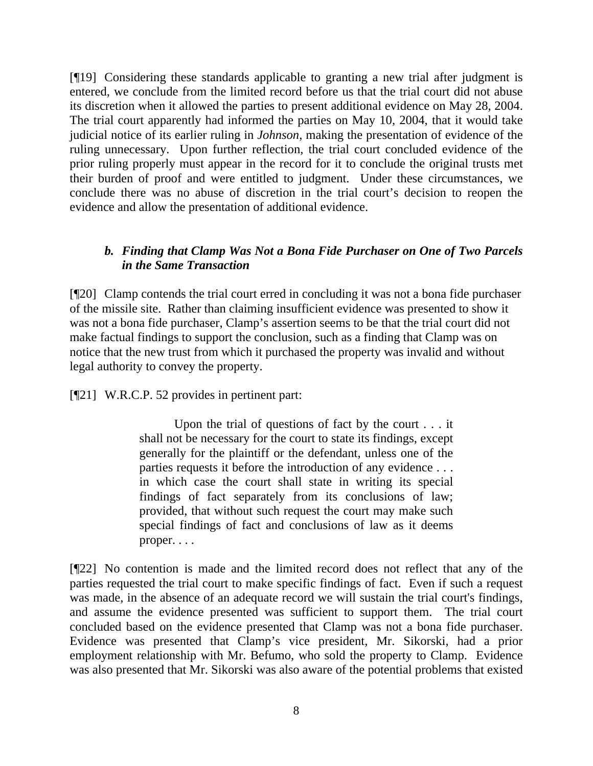[¶19] Considering these standards applicable to granting a new trial after judgment is entered, we conclude from the limited record before us that the trial court did not abuse its discretion when it allowed the parties to present additional evidence on May 28, 2004. The trial court apparently had informed the parties on May 10, 2004, that it would take judicial notice of its earlier ruling in *Johnson*, making the presentation of evidence of the ruling unnecessary. Upon further reflection, the trial court concluded evidence of the prior ruling properly must appear in the record for it to conclude the original trusts met their burden of proof and were entitled to judgment. Under these circumstances, we conclude there was no abuse of discretion in the trial court's decision to reopen the evidence and allow the presentation of additional evidence.

## *b. Finding that Clamp Was Not a Bona Fide Purchaser on One of Two Parcels in the Same Transaction*

[¶20] Clamp contends the trial court erred in concluding it was not a bona fide purchaser of the missile site. Rather than claiming insufficient evidence was presented to show it was not a bona fide purchaser, Clamp's assertion seems to be that the trial court did not make factual findings to support the conclusion, such as a finding that Clamp was on notice that the new trust from which it purchased the property was invalid and without legal authority to convey the property.

[¶21] W.R.C.P. 52 provides in pertinent part:

Upon the trial of questions of fact by the court . . . it shall not be necessary for the court to state its findings, except generally for the plaintiff or the defendant, unless one of the parties requests it before the introduction of any evidence . . . in which case the court shall state in writing its special findings of fact separately from its conclusions of law; provided, that without such request the court may make such special findings of fact and conclusions of law as it deems proper. . . .

[¶22] No contention is made and the limited record does not reflect that any of the parties requested the trial court to make specific findings of fact. Even if such a request was made, in the absence of an adequate record we will sustain the trial court's findings, and assume the evidence presented was sufficient to support them. The trial court concluded based on the evidence presented that Clamp was not a bona fide purchaser. Evidence was presented that Clamp's vice president, Mr. Sikorski, had a prior employment relationship with Mr. Befumo, who sold the property to Clamp. Evidence was also presented that Mr. Sikorski was also aware of the potential problems that existed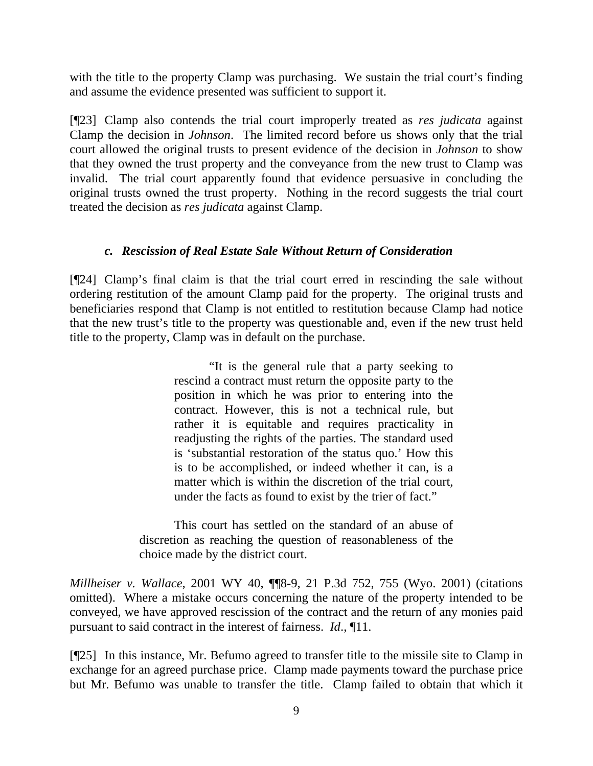with the title to the property Clamp was purchasing. We sustain the trial court's finding and assume the evidence presented was sufficient to support it.

[¶23] Clamp also contends the trial court improperly treated as *res judicata* against Clamp the decision in *Johnson*. The limited record before us shows only that the trial court allowed the original trusts to present evidence of the decision in *Johnson* to show that they owned the trust property and the conveyance from the new trust to Clamp was invalid. The trial court apparently found that evidence persuasive in concluding the original trusts owned the trust property. Nothing in the record suggests the trial court treated the decision as *res judicata* against Clamp.

#### *c. Rescission of Real Estate Sale Without Return of Consideration*

[¶24] Clamp's final claim is that the trial court erred in rescinding the sale without ordering restitution of the amount Clamp paid for the property. The original trusts and beneficiaries respond that Clamp is not entitled to restitution because Clamp had notice that the new trust's title to the property was questionable and, even if the new trust held title to the property, Clamp was in default on the purchase.

> "It is the general rule that a party seeking to rescind a contract must return the opposite party to the position in which he was prior to entering into the contract. However, this is not a technical rule, but rather it is equitable and requires practicality in readjusting the rights of the parties. The standard used is 'substantial restoration of the status quo.' How this is to be accomplished, or indeed whether it can, is a matter which is within the discretion of the trial court, under the facts as found to exist by the trier of fact."

This court has settled on the standard of an abuse of discretion as reaching the question of reasonableness of the choice made by the district court.

*Millheiser v. Wallace*, 2001 WY 40, ¶¶8-9, 21 P.3d 752, 755 (Wyo. 2001) (citations omitted). Where a mistake occurs concerning the nature of the property intended to be conveyed, we have approved rescission of the contract and the return of any monies paid pursuant to said contract in the interest of fairness. *Id*., ¶11.

[¶25] In this instance, Mr. Befumo agreed to transfer title to the missile site to Clamp in exchange for an agreed purchase price. Clamp made payments toward the purchase price but Mr. Befumo was unable to transfer the title. Clamp failed to obtain that which it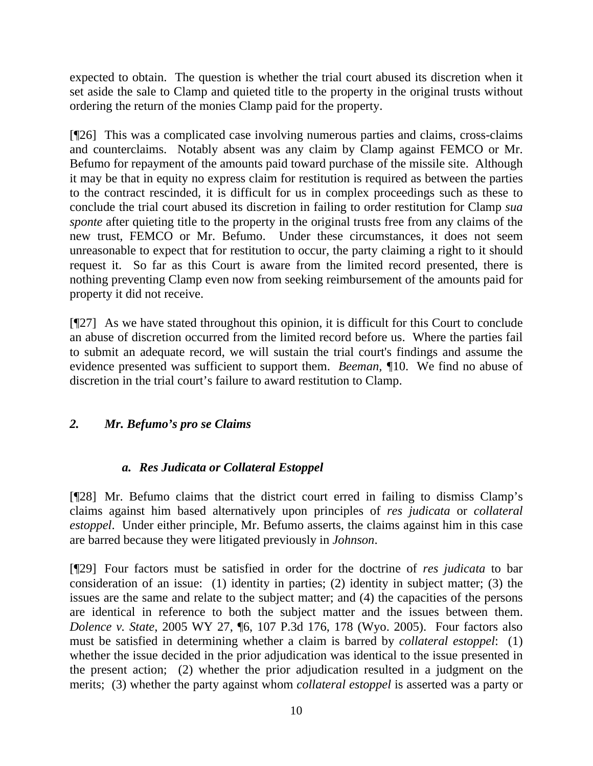expected to obtain. The question is whether the trial court abused its discretion when it set aside the sale to Clamp and quieted title to the property in the original trusts without ordering the return of the monies Clamp paid for the property.

[¶26] This was a complicated case involving numerous parties and claims, cross-claims and counterclaims. Notably absent was any claim by Clamp against FEMCO or Mr. Befumo for repayment of the amounts paid toward purchase of the missile site. Although it may be that in equity no express claim for restitution is required as between the parties to the contract rescinded, it is difficult for us in complex proceedings such as these to conclude the trial court abused its discretion in failing to order restitution for Clamp *sua sponte* after quieting title to the property in the original trusts free from any claims of the new trust, FEMCO or Mr. Befumo. Under these circumstances, it does not seem unreasonable to expect that for restitution to occur, the party claiming a right to it should request it. So far as this Court is aware from the limited record presented, there is nothing preventing Clamp even now from seeking reimbursement of the amounts paid for property it did not receive.

[¶27] As we have stated throughout this opinion, it is difficult for this Court to conclude an abuse of discretion occurred from the limited record before us. Where the parties fail to submit an adequate record, we will sustain the trial court's findings and assume the evidence presented was sufficient to support them. *Beeman, ¶*10. We find no abuse of discretion in the trial court's failure to award restitution to Clamp.

### *2. Mr. Befumo's pro se Claims*

### *a. Res Judicata or Collateral Estoppel*

[¶28] Mr. Befumo claims that the district court erred in failing to dismiss Clamp's claims against him based alternatively upon principles of *res judicata* or *collateral estoppel*. Under either principle, Mr. Befumo asserts, the claims against him in this case are barred because they were litigated previously in *Johnson*.

[¶29] Four factors must be satisfied in order for the doctrine of *res judicata* to bar consideration of an issue: (1) identity in parties; (2) identity in subject matter; (3) the issues are the same and relate to the subject matter; and (4) the capacities of the persons are identical in reference to both the subject matter and the issues between them. *Dolence v. State*, 2005 WY 27, ¶6, 107 P.3d 176, 178 (Wyo. 2005). Four factors also must be satisfied in determining whether a claim is barred by *collateral estoppel*: (1) whether the issue decided in the prior adjudication was identical to the issue presented in the present action; (2) whether the prior adjudication resulted in a judgment on the merits; (3) whether the party against whom *collateral estoppel* is asserted was a party or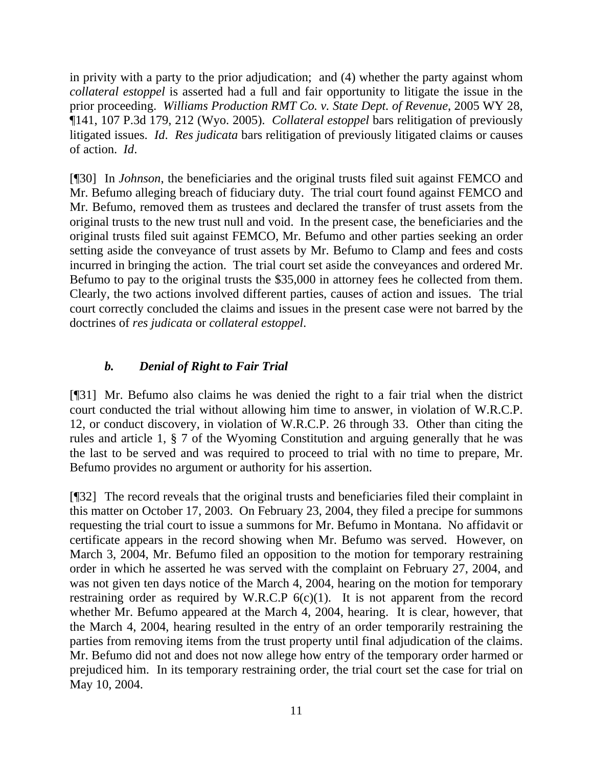in privity with a party to the prior adjudication; and (4) whether the party against whom *collateral estoppel* is asserted had a full and fair opportunity to litigate the issue in the prior proceeding. *Williams Production RMT Co. v. State Dept. of Revenue*, 2005 WY 28, ¶141, 107 P.3d 179, 212 (Wyo. 2005). *Collateral estoppel* bars relitigation of previously litigated issues. *Id*. *Res judicata* bars relitigation of previously litigated claims or causes of action. *Id*.

[¶30] In *Johnson*, the beneficiaries and the original trusts filed suit against FEMCO and Mr. Befumo alleging breach of fiduciary duty. The trial court found against FEMCO and Mr. Befumo, removed them as trustees and declared the transfer of trust assets from the original trusts to the new trust null and void. In the present case, the beneficiaries and the original trusts filed suit against FEMCO, Mr. Befumo and other parties seeking an order setting aside the conveyance of trust assets by Mr. Befumo to Clamp and fees and costs incurred in bringing the action. The trial court set aside the conveyances and ordered Mr. Befumo to pay to the original trusts the \$35,000 in attorney fees he collected from them. Clearly, the two actions involved different parties, causes of action and issues. The trial court correctly concluded the claims and issues in the present case were not barred by the doctrines of *res judicata* or *collateral estoppel*.

### *b. Denial of Right to Fair Trial*

[¶31] Mr. Befumo also claims he was denied the right to a fair trial when the district court conducted the trial without allowing him time to answer, in violation of W.R.C.P. 12, or conduct discovery, in violation of W.R.C.P. 26 through 33. Other than citing the rules and article 1, § 7 of the Wyoming Constitution and arguing generally that he was the last to be served and was required to proceed to trial with no time to prepare, Mr. Befumo provides no argument or authority for his assertion.

[¶32] The record reveals that the original trusts and beneficiaries filed their complaint in this matter on October 17, 2003. On February 23, 2004, they filed a precipe for summons requesting the trial court to issue a summons for Mr. Befumo in Montana. No affidavit or certificate appears in the record showing when Mr. Befumo was served. However, on March 3, 2004, Mr. Befumo filed an opposition to the motion for temporary restraining order in which he asserted he was served with the complaint on February 27, 2004, and was not given ten days notice of the March 4, 2004, hearing on the motion for temporary restraining order as required by W.R.C.P  $6(c)(1)$ . It is not apparent from the record whether Mr. Befumo appeared at the March 4, 2004, hearing. It is clear, however, that the March 4, 2004, hearing resulted in the entry of an order temporarily restraining the parties from removing items from the trust property until final adjudication of the claims. Mr. Befumo did not and does not now allege how entry of the temporary order harmed or prejudiced him. In its temporary restraining order, the trial court set the case for trial on May 10, 2004.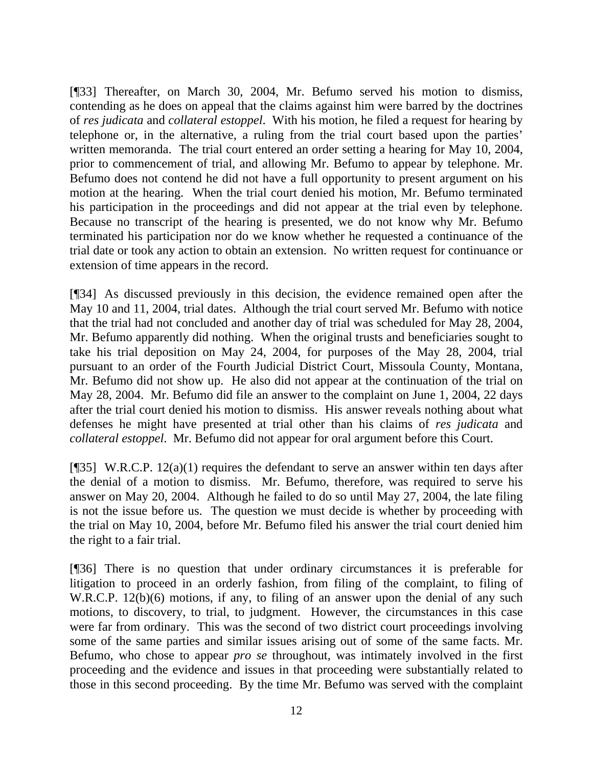[¶33] Thereafter, on March 30, 2004, Mr. Befumo served his motion to dismiss, contending as he does on appeal that the claims against him were barred by the doctrines of *res judicata* and *collateral estoppel*. With his motion, he filed a request for hearing by telephone or, in the alternative, a ruling from the trial court based upon the parties' written memoranda. The trial court entered an order setting a hearing for May 10, 2004, prior to commencement of trial, and allowing Mr. Befumo to appear by telephone. Mr. Befumo does not contend he did not have a full opportunity to present argument on his motion at the hearing. When the trial court denied his motion, Mr. Befumo terminated his participation in the proceedings and did not appear at the trial even by telephone. Because no transcript of the hearing is presented, we do not know why Mr. Befumo terminated his participation nor do we know whether he requested a continuance of the trial date or took any action to obtain an extension. No written request for continuance or extension of time appears in the record.

[¶34] As discussed previously in this decision, the evidence remained open after the May 10 and 11, 2004, trial dates. Although the trial court served Mr. Befumo with notice that the trial had not concluded and another day of trial was scheduled for May 28, 2004, Mr. Befumo apparently did nothing. When the original trusts and beneficiaries sought to take his trial deposition on May 24, 2004, for purposes of the May 28, 2004, trial pursuant to an order of the Fourth Judicial District Court, Missoula County, Montana, Mr. Befumo did not show up. He also did not appear at the continuation of the trial on May 28, 2004. Mr. Befumo did file an answer to the complaint on June 1, 2004, 22 days after the trial court denied his motion to dismiss. His answer reveals nothing about what defenses he might have presented at trial other than his claims of *res judicata* and *collateral estoppel*. Mr. Befumo did not appear for oral argument before this Court.

[ $[$ ][35] W.R.C.P. 12(a)(1) requires the defendant to serve an answer within ten days after the denial of a motion to dismiss. Mr. Befumo, therefore, was required to serve his answer on May 20, 2004. Although he failed to do so until May 27, 2004, the late filing is not the issue before us. The question we must decide is whether by proceeding with the trial on May 10, 2004, before Mr. Befumo filed his answer the trial court denied him the right to a fair trial.

[¶36] There is no question that under ordinary circumstances it is preferable for litigation to proceed in an orderly fashion, from filing of the complaint, to filing of W.R.C.P. 12(b)(6) motions, if any, to filing of an answer upon the denial of any such motions, to discovery, to trial, to judgment. However, the circumstances in this case were far from ordinary. This was the second of two district court proceedings involving some of the same parties and similar issues arising out of some of the same facts. Mr. Befumo, who chose to appear *pro se* throughout, was intimately involved in the first proceeding and the evidence and issues in that proceeding were substantially related to those in this second proceeding. By the time Mr. Befumo was served with the complaint